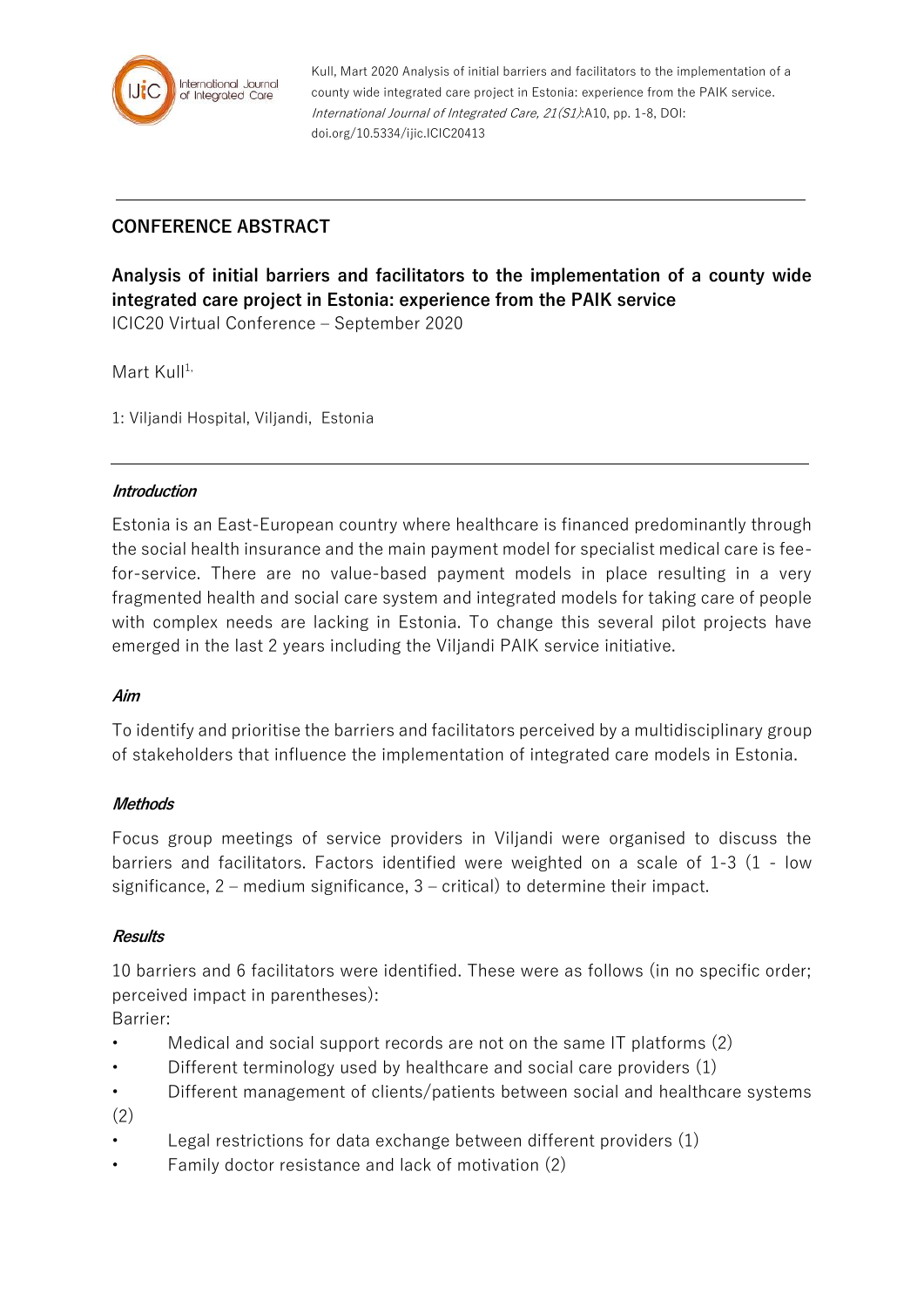

Kull, Mart 2020 Analysis of initial barriers and facilitators to the implementation of a county wide integrated care project in Estonia: experience from the PAIK service. International Journal of Integrated Care, 21(S1):A10, pp. 1-8, DOI: doi.org/10.5334/ijic.ICIC20413

# **CONFERENCE ABSTRACT**

**Analysis of initial barriers and facilitators to the implementation of a county wide integrated care project in Estonia: experience from the PAIK service**

ICIC20 Virtual Conference – September 2020

Mart  $K||1$ <sup>1,</sup>

1: Viljandi Hospital, Viljandi, Estonia

#### **Introduction**

Estonia is an East-European country where healthcare is financed predominantly through the social health insurance and the main payment model for specialist medical care is feefor-service. There are no value-based payment models in place resulting in a very fragmented health and social care system and integrated models for taking care of people with complex needs are lacking in Estonia. To change this several pilot projects have emerged in the last 2 years including the Viljandi PAIK service initiative.

#### **Aim**

To identify and prioritise the barriers and facilitators perceived by a multidisciplinary group of stakeholders that influence the implementation of integrated care models in Estonia.

#### **Methods**

Focus group meetings of service providers in Viljandi were organised to discuss the barriers and facilitators. Factors identified were weighted on a scale of 1-3 (1 - low significance, 2 – medium significance, 3 – critical) to determine their impact.

#### **Results**

10 barriers and 6 facilitators were identified. These were as follows (in no specific order; perceived impact in parentheses):

Barrier:

- Medical and social support records are not on the same IT platforms (2)
- Different terminology used by healthcare and social care providers (1)
- Different management of clients/patients between social and healthcare systems (2)
- Legal restrictions for data exchange between different providers (1)
- Family doctor resistance and lack of motivation (2)